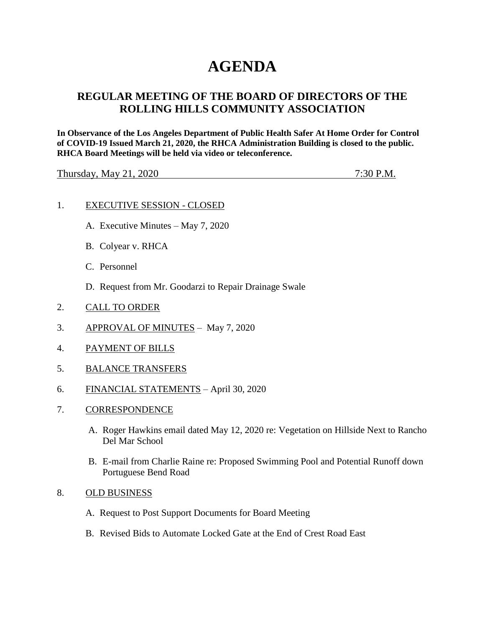# **AGENDA**

# **REGULAR MEETING OF THE BOARD OF DIRECTORS OF THE ROLLING HILLS COMMUNITY ASSOCIATION**

**In Observance of the Los Angeles Department of Public Health Safer At Home Order for Control of COVID-19 Issued March 21, 2020, the RHCA Administration Building is closed to the public. RHCA Board Meetings will be held via video or teleconference.** 

Thursday, May 21, 2020 7:30 P.M.

## 1. EXECUTIVE SESSION - CLOSED

- A. Executive Minutes May 7, 2020
- B. Colyear v. RHCA
- C. Personnel
- D. Request from Mr. Goodarzi to Repair Drainage Swale
- 2. CALL TO ORDER
- 3. APPROVAL OF MINUTES May 7, 2020
- 4. PAYMENT OF BILLS
- 5. BALANCE TRANSFERS
- 6. FINANCIAL STATEMENTS April 30, 2020
- 7. CORRESPONDENCE
	- A. Roger Hawkins email dated May 12, 2020 re: Vegetation on Hillside Next to Rancho Del Mar School
	- B. E-mail from Charlie Raine re: Proposed Swimming Pool and Potential Runoff down Portuguese Bend Road
- 8. OLD BUSINESS
	- A. Request to Post Support Documents for Board Meeting
	- B. Revised Bids to Automate Locked Gate at the End of Crest Road East